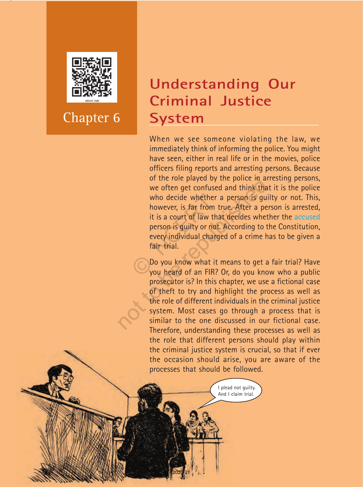

Chapter 6

**Social And Political Life 666666** 

# **Understanding Our Criminal Justice System**

When we see someone violating the law, we immediately think of informing the police. You might have seen, either in real life or in the movies, police officers filing reports and arresting persons. Because of the role played by the police in arresting persons, we often get confused and think that it is the police who decide whether a person is guilty or not. This, however, is far from true. After a person is arrested, it is a court of law that decides whether the accused person is guilty or not. According to the Constitution, every individual charged of a crime has to be given a fair trial. who decide whether a<br>however, is far from t<br>it is a court of law tha<br>person is guilty or not.<br>every individual charg<br>fair trial.<br> $\bigodot$  Do you know what it<br>you heard of an FIR? or the role played by the police in a<br>we often get confused and think tha<br>who decide whether a person is gu<br>however, is far from true. After a pe<br>it is a court of law that decides whet<br>person is guilty or not. According to

Do you know what it means to get a fair trial? Have you heard of an FIR? Or, do you know who a public prosecutor is? In this chapter, we use a fictional case of theft to try and highlight the process as well as the role of different individuals in the criminal justice system. Most cases go through a process that is similar to the one discussed in our fictional case. Therefore, understanding these processes as well as the role that different persons should play within the criminal justice system is crucial, so that if ever the occasion should arise, you are aware of the processes that should be followed.

> I plead not guilty. And I claim trial.

2020-21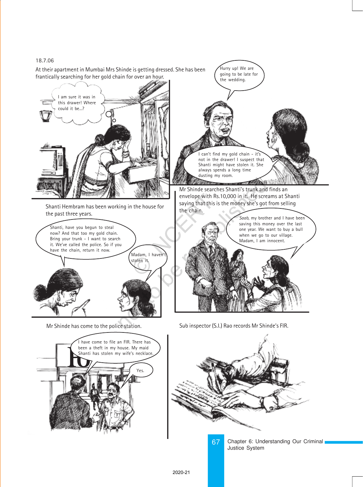#### 18.7.06





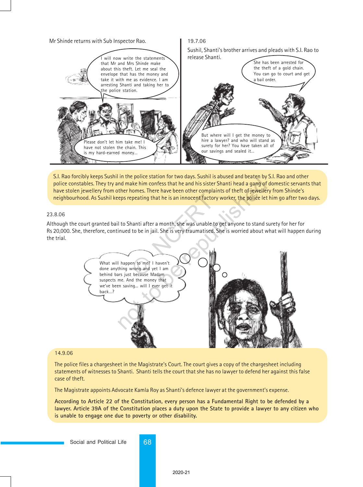

S.I. Rao forcibly keeps Sushil in the police station for two days. Sushil is abused and beaten by S.I. Rao and other police constables. They try and make him confess that he and his sister Shanti head a gang of domestic servants that have stolen jewellery from other homes. There have been other complaints of theft of jewellery from Shinde's neighbourhood. As Sushil keeps repeating that he is an innocent factory worker, the police let him go after two days.

#### 23.8.06

Although the court granted bail to Shanti after a month, she was unable to get anyone to stand surety for her for Rs 20,000. She, therefore, continued to be in jail. She is very traumatised. She is worried about what will happen during the trial.



#### 14.9.06

The police files a chargesheet in the Magistrate's Court. The court gives a copy of the chargesheet including statements of witnesses to Shanti. Shanti tells the court that she has no lawyer to defend her against this false case of theft.

The Magistrate appoints Advocate Kamla Roy as Shanti's defence lawyer at the government's expense.

**According to Article 22 of the Constitution, every person has a Fundamental Right to be defended by a lawyer. Article 39A of the Constitution places a duty upon the State to provide a lawyer to any citizen who is unable to engage one due to poverty or other disability.**

Social and Political Life 68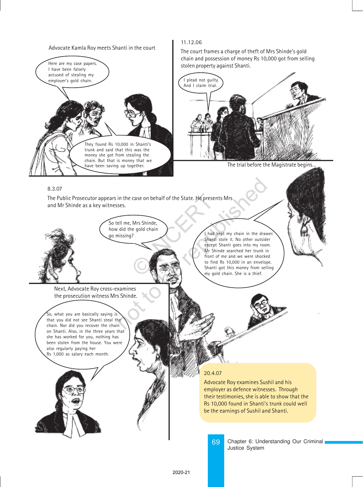Advocate Kamla Roy meets Shanti in the court



#### 11.12.06

The court frames a charge of theft of Mrs Shinde's gold chain and possession of money Rs 10,000 got from selling stolen property against Shanti.



The trial before the Magistrate begins…

#### 8.3.07

The Public Prosecutor appears in the case on behalf of the State. He presents Mrs and Mr Shinde as a key witnesses. Case on behalf of the State. He present:<br>
Mrs Shinde,<br>
Pe gold chain<br>
Parati s<br>
Control of the State of Sharti s<br>
(Sharti s<br>
front of to find I<br>
my gold

So tell me, Mrs Shinde, how did the gold chain

Next, Advocate Roy cross-examines the prosecution witness Mrs Shinde.

So, what you are basically saying is that you did not see Shanti steal the chain. Nor did you recover the chain on Shanti. Also, in the three years that she has worked for you, nothing has been stolen from the house. You were also regularly paying her Rs 1,000 as salary each month.

go missing?<br>go missing? Shanti stole it. No other outsider except Shanti goes into my room. Mr Shinde searched her trunk in front of me and we were shocked to find Rs 10,000 in an envelope. Shanti got this money from selling my gold chain. She is a thief. in the case on behalf of the State. He presents Mrs<br>
ses.<br>
ell me, Mrs Shinde,<br>
did the gold chain<br>
alisting?<br>
Shanti stole it. No other outside<br>
except Shanti goes into my roor<br>
from the searched her trunk in<br>
for Shanti

#### 20.4.07

Advocate Roy examines Sushil and his employer as defence witnesses. Through their testimonies, she is able to show that the Rs 10,000 found in Shanti's trunk could well be the earnings of Sushil and Shanti.

69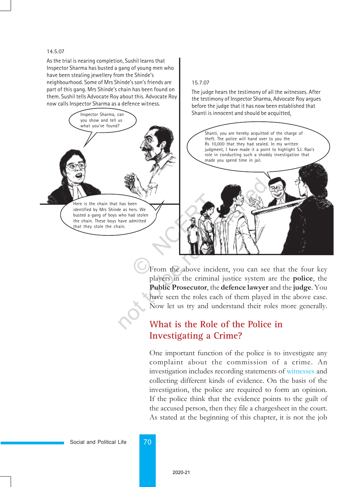#### 14.5.07

As the trial is nearing completion, Sushil learns that Inspector Sharma has busted a gang of young men who have been stealing jewellery from the Shinde's neighbourhood. Some of Mrs Shinde's son's friends are part of this gang. Mrs Shinde's chain has been found on them. Sushil tells Advocate Roy about this. Advocate Roy now calls Inspector Sharma as a defence witness.



#### 15.7.07

The judge hears the testimony of all the witnesses. After the testimony of Inspector Sharma, Advocate Roy argues before the judge that it has now been established that



From the above incident, you can see that the four key players in the criminal justice system are the police, the Public Prosecutor, the defence lawyer and the judge. You have seen the roles each of them played in the above case. Now let us try and understand their roles more generally.

## **What is the Role of the Police in Investigating a Crime?**

One important function of the police is to investigate any complaint about the commission of a crime. An investigation includes recording statements of witnesses and collecting different kinds of evidence. On the basis of the investigation, the police are required to form an opinion. If the police think that the evidence points to the guilt of the accused person, then they file a chargesheet in the court. As stated at the beginning of this chapter, it is not the job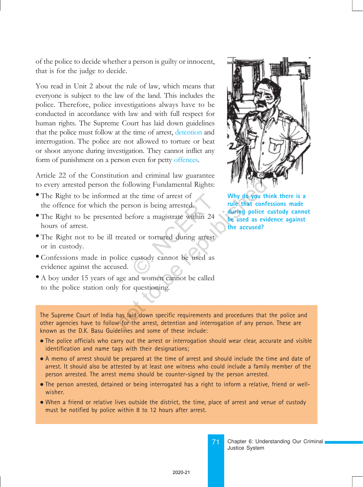of the police to decide whether a person is guilty or innocent, that is for the judge to decide.

You read in Unit 2 about the rule of law, which means that everyone is subject to the law of the land. This includes the police. Therefore, police investigations always have to be conducted in accordance with law and with full respect for human rights. The Supreme Court has laid down guidelines that the police must follow at the time of arrest, detention and interrogation. The police are not allowed to torture or beat or shoot anyone during investigation. They cannot inflict any form of punishment on a person even for petty offences.

Article 22 of the Constitution and criminal law guarantee to every arrested person the following Fundamental Rights:

- The Right to be informed at the time of arrest of the offence for which the person is being arrested.
- The Right to be presented before a magistrate within 24 hours of arrest. the time of arrest of<br>son is being arrested.<br>efore a magistrate within 24<br>ed or tortured during arrest<br>custody cannot be used as
- The Right not to be ill treated or tortured during arrest or in custody.
- Confessions made in police custody cannot be used as evidence against the accused.
- A boy under 15 years of age and women cannot be called to the police station only for questioning.



**Why do you think there is a rule that confessions made during police custody cannot be used as evidence against the accused?**

The Supreme Court of India has laid down specific requirements and procedures that the police and other agencies have to follow for the arrest, detention and interrogation of any person. These are known as the D.K. Basu Guidelines and some of these include: Following Fundamental Rights:<br>
a the time of arrest of<br>
the republic person is being arrested.<br>
The republic of the time of a magistrate within 24<br>
a the time of a magistrate within 24<br>
a the time of a magistrate within 24

- The police officials who carry out the arrest or interrogation should wear clear, accurate and visible identification and name tags with their designations;
- A memo of arrest should be prepared at the time of arrest and should include the time and date of arrest. It should also be attested by at least one witness who could include a family member of the person arrested. The arrest memo should be counter-signed by the person arrested.
- The person arrested, detained or being interrogated has a right to inform a relative, friend or wellwisher.
- When a friend or relative lives outside the district, the time, place of arrest and venue of custody must be notified by police within 8 to 12 hours after arrest.

Chapter 6: Understanding Our Criminal Justice System

71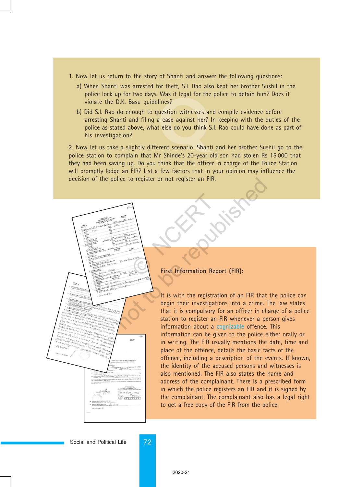- 1. Now let us return to the story of Shanti and answer the following questions:
	- a) When Shanti was arrested for theft, S.I. Rao also kept her brother Sushil in the police lock up for two days. Was it legal for the police to detain him? Does it violate the D.K. Basu guidelines?
	- Was it itself for the<br>lines?<br>a case against her?<br>t else do you think 9<br>rent scenario. Shant b) Did S.I. Rao do enough to question witnesses and compile evidence before arresting Shanti and filing a case against her? In keeping with the duties of the police as stated above, what else do you think S.I. Rao could have done as part of his investigation?

2. Now let us take a slightly different scenario. Shanti and her brother Sushil go to the police station to complain that Mr Shinde's 20-year old son had stolen Rs 15,000 that they had been saving up. Do you think that the officer in charge of the Police Station will promptly lodge an FIR? List a few factors that in your opinion may influence the decision of the police to register or not register an FIR.



#### **First Information Report (FIR):**

It is with the registration of an FIR that the police can begin their investigations into a crime. The law states that it is compulsory for an officer in charge of a police station to register an FIR whenever a person gives information about a cognizable offence. This information can be given to the police either orally or in writing. The FIR usually mentions the date, time and place of the offence, details the basic facts of the offence, including a description of the events. If known, the identity of the accused persons and witnesses is also mentioned. The FIR also states the name and address of the complainant. There is a prescribed form in which the police registers an FIR and it is signed by the complainant. The complainant also has a legal right to get a free copy of the FIR from the police.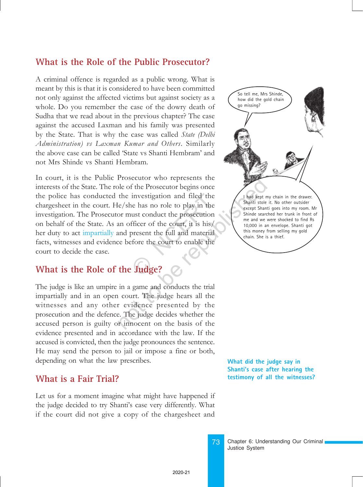### **What is the Role of the Public Prosecutor?**

A criminal offence is regarded as a public wrong. What is meant by this is that it is considered to have been committed not only against the affected victims but against society as a whole. Do you remember the case of the dowry death of Sudha that we read about in the previous chapter? The case against the accused Laxman and his family was presented by the State. That is why the case was called State (Delhi Administration) vs Laxman Kumar and Others. Similarly the above case can be called 'State vs Shanti Hembram' and not Mrs Shinde vs Shanti Hembram.

In court, it is the Public Prosecutor who represents the interests of the State. The role of the Prosecutor begins once the police has conducted the investigation and filed the chargesheet in the court. He/she has no role to play in the investigation. The Prosecutor must conduct the prosecution on behalf of the State. As an officer of the court, it is his/ her duty to act impartially and present the full and material facts, witnesses and evidence before the court to enable the court to decide the case. investigation and filed the<br>ne has no role to play in the<br>ust conduct the prosecution<br>fficer of the court, it is his/<br>present the full and material<br>fore the court to enable the<br>**Integration** Prosecutor who represents the<br>
le of the Prosecutor begins once<br>
the investigation and filed the<br>
e/she has no role to play in the<br>
or must conduct the prosecution<br>
an officer of the court, it is his/<br>
and present the ful

## **What is the Role of the Judge?**

The judge is like an umpire in a game and conducts the trial impartially and in an open court. The judge hears all the witnesses and any other evidence presented by the prosecution and the defence. The judge decides whether the accused person is guilty or innocent on the basis of the evidence presented and in accordance with the law. If the accused is convicted, then the judge pronounces the sentence. He may send the person to jail or impose a fine or both, depending on what the law prescribes.

### **What is a Fair Trial?**

Let us for a moment imagine what might have happened if the judge decided to try Shanti's case very differently. What if the court did not give a copy of the chargesheet and



**What did the judge say in Shanti's case after hearing the testimony of all the witnesses?**

73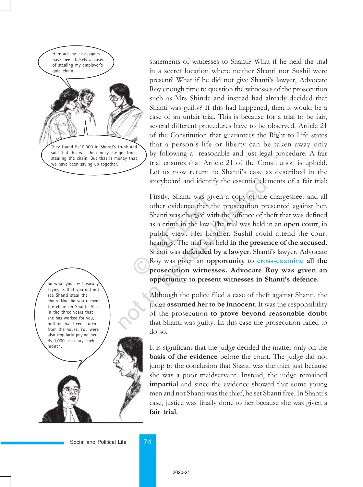Here are my case papers. I have been falsely accused of stealing my employer's gold chain.



stealing the chain. But that is money that we have been saving up together.

So what you are basically saying is that you did not see Shanti steal the chain. Nor did you recover the chain on Shanti. Also, in the three years that she has worked for you, nothing has been stolen from the house. You were also regularly paying her Rs 1,000 as salary each month.

statements of witnesses to Shanti? What if he held the trial in a secret location where neither Shanti nor Sushil were present? What if he did not give Shanti's lawyer, Advocate Roy enough time to question the witnesses of the prosecution such as Mrs Shinde and instead had already decided that Shanti was guilty? If this had happened, then it would be a case of an unfair trial. This is because for a trial to be fair, several different procedures have to be observed. Article 21 of the Constitution that guarantees the Right to Life states that a person's life or liberty can be taken away only by following a reasonable and just legal procedure. A fair trial ensures that Article 21 of the Constitution is upheld. Let us now return to Shanti's case as described in the storyboard and identify the essential elements of a fair trial:

Firstly, Shanti was given a copy of the chargesheet and all other evidence that the prosecution presented against her. Shanti was charged with the offence of theft that was defined as a crime in the law. The trial was held in an open court, in public view. Her brother, Sushil could attend the court hearings. The trial was held in the presence of the accused. Shanti was **defended by a lawyer**. Shanti's lawyer, Advocate Roy was given an opportunity to cross-examine all the prosecution witnesses. Advocate Roy was given an opportunity to present witnesses in Shanti's defence. Firstly, Shanti was giver<br>
other evidence that the<br>
Shanti was charged with<br>
as a crime in the law. Th<br>
public view. Her broth<br>
hearings. The trial was he<br>
Shanti was **defended by**<br>
Roy was given an **oppe**<br> **prosecution wi** storyboard and identify the essential ele<br>Firstly, Shanti was given a copy of the<br>other evidence that the prosecution pr<br>Shanti was charged with the offence of tl<br>as a crime in the law. The trial was held<br>public view. Her

Although the police filed a case of theft against Shanti, the judge assumed her to be innocent. It was the responsibility of the prosecution to prove beyond reasonable doubt that Shanti was guilty. In this case the prosecution failed to do so.

It is significant that the judge decided the matter only on the basis of the evidence before the court. The judge did not jump to the conclusion that Shanti was the thief just because she was a poor maidservant. Instead, the judge remained impartial and since the evidence showed that some young men and not Shanti was the thief, he set Shanti free. In Shanti's case, justice was finally done to her because she was given a fair trial.

Social and Political Life 74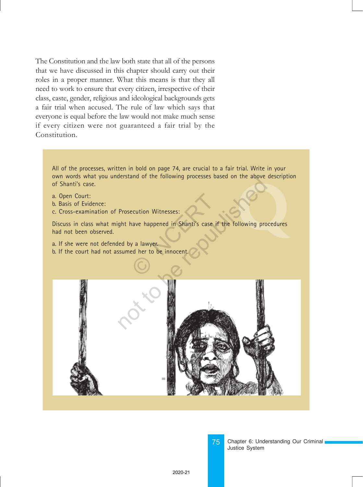The Constitution and the law both state that all of the persons that we have discussed in this chapter should carry out their roles in a proper manner. What this means is that they all need to work to ensure that every citizen, irrespective of their class, caste, gender, religious and ideological backgrounds gets a fair trial when accused. The rule of law which says that everyone is equal before the law would not make much sense if every citizen were not guaranteed a fair trial by the Constitution.

All of the processes, written in bold on page 74, are crucial to a fair trial. Write in your own words what you understand of the following processes based on the above description of Shanti's case.

- a. Open Court:
- b. Basis of Evidence:
- c. Cross-examination of Prosecution Witnesses:

**CONSUMING AND READ PROPERTY.** Discuss in class what might have happened in Shanti's case if the following procedures had not been observed. Ecution Witnesses:<br>
Next a lawyer.<br>
Expansion of the innocent.

- a. If she were not defended by a lawyer.
- b. If the court had not assumed her to be innocent



75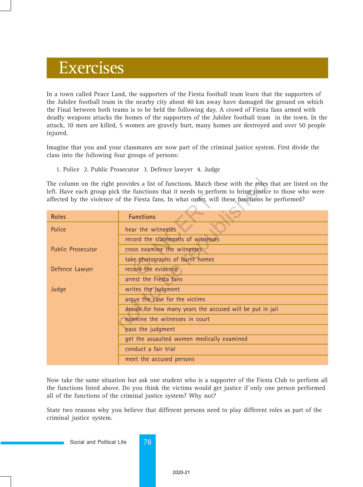## Exercises

In a town called Peace Land, the supporters of the Fiesta football team learn that the supporters of the Jubilee football team in the nearby city about 40 km away have damaged the ground on which the Final between both teams is to be held the following day. A crowd of Fiesta fans armed with deadly weapons attacks the homes of the supporters of the Jubilee football team in the town. In the attack, 10 men are killed, 5 women are gravely hurt, many homes are destroyed and over 50 people injured.

Imagine that you and your classmates are now part of the criminal justice system. First divide the class into the following four groups of persons:

1. Police 2. Public Prosecutor 3. Defence lawyer 4. Judge

| The column on the right provides a list of functions. Match these with the roles that are listed on the<br>left. Have each group pick the functions that it needs to perform to bring justice to those who were<br>affected by the violence of the Fiesta fans. In what order, will these functions be performed? |                                                           |
|-------------------------------------------------------------------------------------------------------------------------------------------------------------------------------------------------------------------------------------------------------------------------------------------------------------------|-----------------------------------------------------------|
| <b>Roles</b>                                                                                                                                                                                                                                                                                                      | <b>Functions</b>                                          |
| Police                                                                                                                                                                                                                                                                                                            | hear the witnesses                                        |
|                                                                                                                                                                                                                                                                                                                   | record the statements of witnesses                        |
| <b>Public Prosecutor</b>                                                                                                                                                                                                                                                                                          | cross examine the witnesses                               |
|                                                                                                                                                                                                                                                                                                                   | take photographs of burnt homes                           |
| Defence Lawyer                                                                                                                                                                                                                                                                                                    | record the evidence                                       |
|                                                                                                                                                                                                                                                                                                                   | arrest the Fiesta fans                                    |
| Judge                                                                                                                                                                                                                                                                                                             | writes the judgment                                       |
|                                                                                                                                                                                                                                                                                                                   | arque the case for the victims                            |
|                                                                                                                                                                                                                                                                                                                   | decide for how many years the accused will be put in jail |
|                                                                                                                                                                                                                                                                                                                   | examine the witnesses in court                            |
|                                                                                                                                                                                                                                                                                                                   | pass the judgment                                         |
|                                                                                                                                                                                                                                                                                                                   | get the assaulted women medically examined                |
|                                                                                                                                                                                                                                                                                                                   | conduct a fair trial                                      |
|                                                                                                                                                                                                                                                                                                                   | meet the accused persons                                  |

Now take the same situation but ask one student who is a supporter of the Fiesta Club to perform all the functions listed above. Do you think the victims would get justice if only one person performed all of the functions of the criminal justice system? Why not?

State two reasons why you believe that different persons need to play different roles as part of the criminal justice system.

Social and Political Life 76